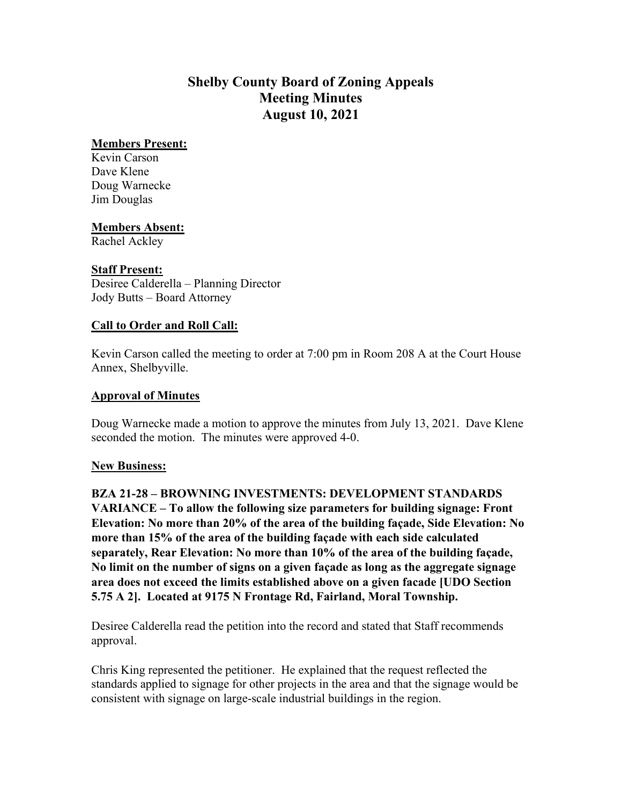# **Shelby County Board of Zoning Appeals Meeting Minutes August 10, 2021**

#### **Members Present:**

Kevin Carson Dave Klene Doug Warnecke Jim Douglas

### **Members Absent:**

Rachel Ackley

### **Staff Present:**

Desiree Calderella – Planning Director Jody Butts – Board Attorney

### **Call to Order and Roll Call:**

Kevin Carson called the meeting to order at 7:00 pm in Room 208 A at the Court House Annex, Shelbyville.

### **Approval of Minutes**

Doug Warnecke made a motion to approve the minutes from July 13, 2021. Dave Klene seconded the motion. The minutes were approved 4-0.

#### **New Business:**

**BZA 21-28 – BROWNING INVESTMENTS: DEVELOPMENT STANDARDS VARIANCE – To allow the following size parameters for building signage: Front Elevation: No more than 20% of the area of the building façade, Side Elevation: No more than 15% of the area of the building façade with each side calculated separately, Rear Elevation: No more than 10% of the area of the building façade, No limit on the number of signs on a given façade as long as the aggregate signage area does not exceed the limits established above on a given facade [UDO Section 5.75 A 2]. Located at 9175 N Frontage Rd, Fairland, Moral Township.**

Desiree Calderella read the petition into the record and stated that Staff recommends approval.

Chris King represented the petitioner. He explained that the request reflected the standards applied to signage for other projects in the area and that the signage would be consistent with signage on large-scale industrial buildings in the region.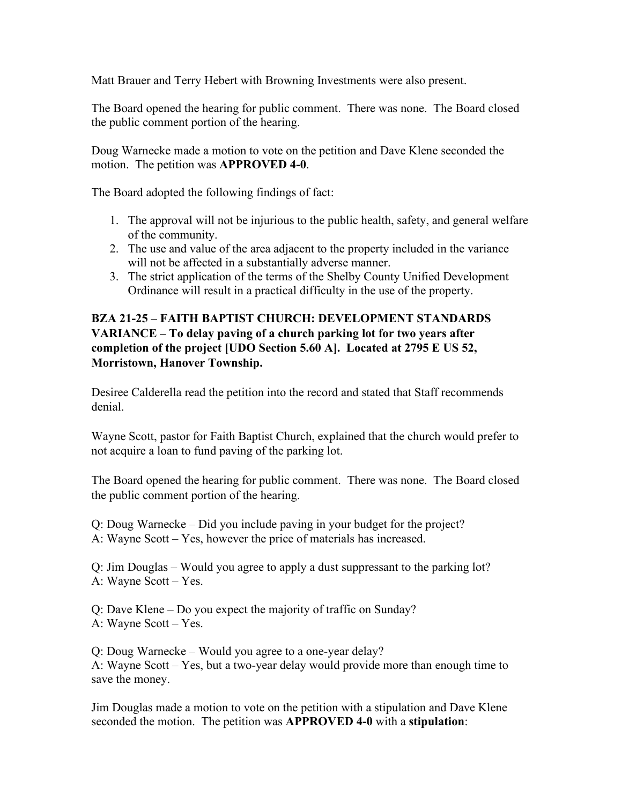Matt Brauer and Terry Hebert with Browning Investments were also present.

The Board opened the hearing for public comment. There was none. The Board closed the public comment portion of the hearing.

Doug Warnecke made a motion to vote on the petition and Dave Klene seconded the motion. The petition was **APPROVED 4-0**.

The Board adopted the following findings of fact:

- 1. The approval will not be injurious to the public health, safety, and general welfare of the community.
- 2. The use and value of the area adjacent to the property included in the variance will not be affected in a substantially adverse manner.
- 3. The strict application of the terms of the Shelby County Unified Development Ordinance will result in a practical difficulty in the use of the property.

# **BZA 21-25 – FAITH BAPTIST CHURCH: DEVELOPMENT STANDARDS VARIANCE – To delay paving of a church parking lot for two years after completion of the project [UDO Section 5.60 A]. Located at 2795 E US 52, Morristown, Hanover Township.**

Desiree Calderella read the petition into the record and stated that Staff recommends denial.

Wayne Scott, pastor for Faith Baptist Church, explained that the church would prefer to not acquire a loan to fund paving of the parking lot.

The Board opened the hearing for public comment. There was none. The Board closed the public comment portion of the hearing.

Q: Doug Warnecke – Did you include paving in your budget for the project?

A: Wayne Scott – Yes, however the price of materials has increased.

Q: Jim Douglas – Would you agree to apply a dust suppressant to the parking lot? A: Wayne Scott – Yes.

Q: Dave Klene – Do you expect the majority of traffic on Sunday? A: Wayne Scott – Yes.

Q: Doug Warnecke – Would you agree to a one-year delay? A: Wayne Scott – Yes, but a two-year delay would provide more than enough time to save the money.

Jim Douglas made a motion to vote on the petition with a stipulation and Dave Klene seconded the motion. The petition was **APPROVED 4-0** with a **stipulation**: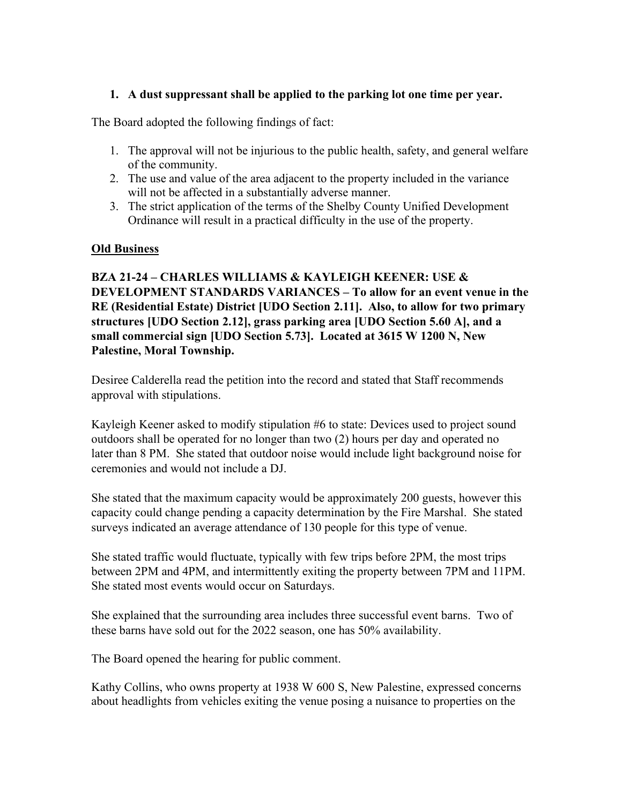### **1. A dust suppressant shall be applied to the parking lot one time per year.**

The Board adopted the following findings of fact:

- 1. The approval will not be injurious to the public health, safety, and general welfare of the community.
- 2. The use and value of the area adjacent to the property included in the variance will not be affected in a substantially adverse manner.
- 3. The strict application of the terms of the Shelby County Unified Development Ordinance will result in a practical difficulty in the use of the property.

### **Old Business**

**BZA 21-24 – CHARLES WILLIAMS & KAYLEIGH KEENER: USE & DEVELOPMENT STANDARDS VARIANCES – To allow for an event venue in the RE (Residential Estate) District [UDO Section 2.11]. Also, to allow for two primary structures [UDO Section 2.12], grass parking area [UDO Section 5.60 A], and a small commercial sign [UDO Section 5.73]. Located at 3615 W 1200 N, New Palestine, Moral Township.**

Desiree Calderella read the petition into the record and stated that Staff recommends approval with stipulations.

Kayleigh Keener asked to modify stipulation #6 to state: Devices used to project sound outdoors shall be operated for no longer than two (2) hours per day and operated no later than 8 PM. She stated that outdoor noise would include light background noise for ceremonies and would not include a DJ.

She stated that the maximum capacity would be approximately 200 guests, however this capacity could change pending a capacity determination by the Fire Marshal. She stated surveys indicated an average attendance of 130 people for this type of venue.

She stated traffic would fluctuate, typically with few trips before 2PM, the most trips between 2PM and 4PM, and intermittently exiting the property between 7PM and 11PM. She stated most events would occur on Saturdays.

She explained that the surrounding area includes three successful event barns. Two of these barns have sold out for the 2022 season, one has 50% availability.

The Board opened the hearing for public comment.

Kathy Collins, who owns property at 1938 W 600 S, New Palestine, expressed concerns about headlights from vehicles exiting the venue posing a nuisance to properties on the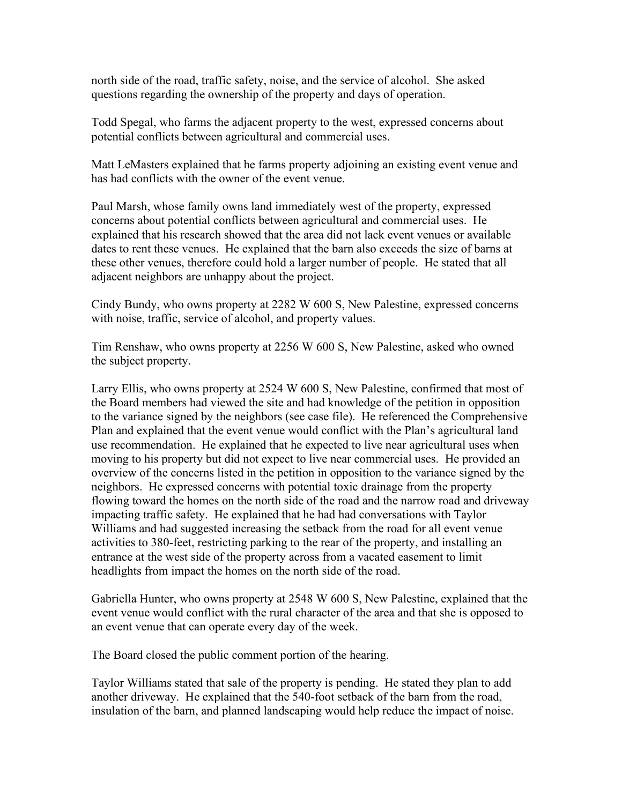north side of the road, traffic safety, noise, and the service of alcohol. She asked questions regarding the ownership of the property and days of operation.

Todd Spegal, who farms the adjacent property to the west, expressed concerns about potential conflicts between agricultural and commercial uses.

Matt LeMasters explained that he farms property adjoining an existing event venue and has had conflicts with the owner of the event venue.

Paul Marsh, whose family owns land immediately west of the property, expressed concerns about potential conflicts between agricultural and commercial uses. He explained that his research showed that the area did not lack event venues or available dates to rent these venues. He explained that the barn also exceeds the size of barns at these other venues, therefore could hold a larger number of people. He stated that all adjacent neighbors are unhappy about the project.

Cindy Bundy, who owns property at 2282 W 600 S, New Palestine, expressed concerns with noise, traffic, service of alcohol, and property values.

Tim Renshaw, who owns property at 2256 W 600 S, New Palestine, asked who owned the subject property.

Larry Ellis, who owns property at 2524 W 600 S, New Palestine, confirmed that most of the Board members had viewed the site and had knowledge of the petition in opposition to the variance signed by the neighbors (see case file). He referenced the Comprehensive Plan and explained that the event venue would conflict with the Plan's agricultural land use recommendation. He explained that he expected to live near agricultural uses when moving to his property but did not expect to live near commercial uses. He provided an overview of the concerns listed in the petition in opposition to the variance signed by the neighbors. He expressed concerns with potential toxic drainage from the property flowing toward the homes on the north side of the road and the narrow road and driveway impacting traffic safety. He explained that he had had conversations with Taylor Williams and had suggested increasing the setback from the road for all event venue activities to 380-feet, restricting parking to the rear of the property, and installing an entrance at the west side of the property across from a vacated easement to limit headlights from impact the homes on the north side of the road.

Gabriella Hunter, who owns property at 2548 W 600 S, New Palestine, explained that the event venue would conflict with the rural character of the area and that she is opposed to an event venue that can operate every day of the week.

The Board closed the public comment portion of the hearing.

Taylor Williams stated that sale of the property is pending. He stated they plan to add another driveway. He explained that the 540-foot setback of the barn from the road, insulation of the barn, and planned landscaping would help reduce the impact of noise.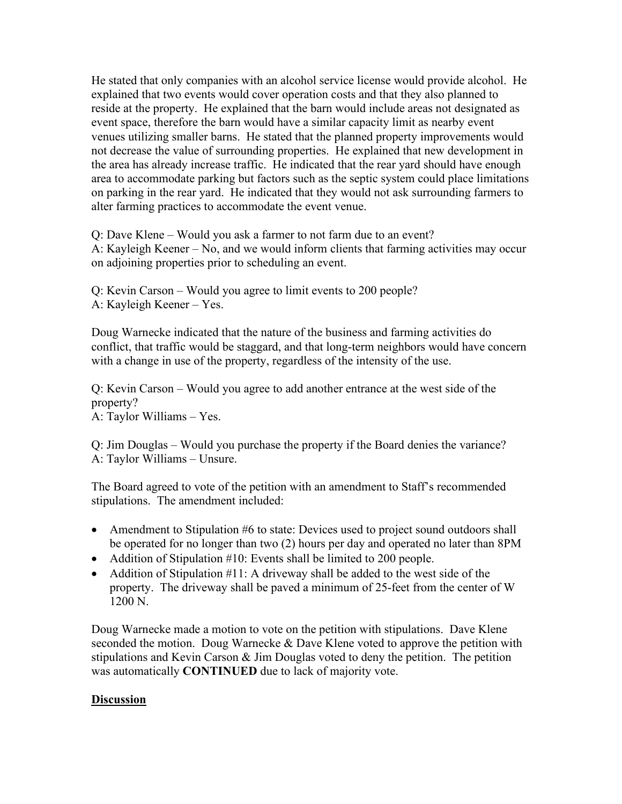He stated that only companies with an alcohol service license would provide alcohol. He explained that two events would cover operation costs and that they also planned to reside at the property. He explained that the barn would include areas not designated as event space, therefore the barn would have a similar capacity limit as nearby event venues utilizing smaller barns. He stated that the planned property improvements would not decrease the value of surrounding properties. He explained that new development in the area has already increase traffic. He indicated that the rear yard should have enough area to accommodate parking but factors such as the septic system could place limitations on parking in the rear yard. He indicated that they would not ask surrounding farmers to alter farming practices to accommodate the event venue.

Q: Dave Klene – Would you ask a farmer to not farm due to an event? A: Kayleigh Keener – No, and we would inform clients that farming activities may occur on adjoining properties prior to scheduling an event.

Q: Kevin Carson – Would you agree to limit events to 200 people? A: Kayleigh Keener – Yes.

Doug Warnecke indicated that the nature of the business and farming activities do conflict, that traffic would be staggard, and that long-term neighbors would have concern with a change in use of the property, regardless of the intensity of the use.

Q: Kevin Carson – Would you agree to add another entrance at the west side of the property? A: Taylor Williams – Yes.

Q: Jim Douglas – Would you purchase the property if the Board denies the variance? A: Taylor Williams – Unsure.

The Board agreed to vote of the petition with an amendment to Staff's recommended stipulations. The amendment included:

- Amendment to Stipulation #6 to state: Devices used to project sound outdoors shall be operated for no longer than two (2) hours per day and operated no later than 8PM
- Addition of Stipulation #10: Events shall be limited to 200 people.
- Addition of Stipulation #11: A driveway shall be added to the west side of the property. The driveway shall be paved a minimum of 25-feet from the center of W 1200 N.

Doug Warnecke made a motion to vote on the petition with stipulations. Dave Klene seconded the motion. Doug Warnecke & Dave Klene voted to approve the petition with stipulations and Kevin Carson & Jim Douglas voted to deny the petition. The petition was automatically **CONTINUED** due to lack of majority vote.

### **Discussion**